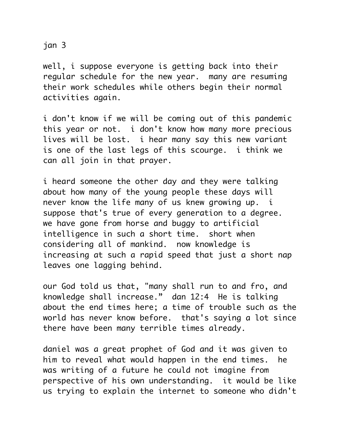jan 3

well, i suppose everyone is getting back into their regular schedule for the new year. many are resuming their work schedules while others begin their normal activities again.

i don't know if we will be coming out of this pandemic this year or not. i don't know how many more precious lives will be lost. i hear many say this new variant is one of the last legs of this scourge. i think we can all join in that prayer.

i heard someone the other day and they were talking about how many of the young people these days will never know the life many of us knew growing up. i suppose that's true of every generation to a degree. we have gone from horse and buggy to artificial intelligence in such a short time. short when considering all of mankind. now knowledge is increasing at such a rapid speed that just a short nap leaves one lagging behind.

our God told us that, "many shall run to and fro, and knowledge shall increase." dan 12:4 He is talking about the end times here; a time of trouble such as the world has never know before. that's saying a lot since there have been many terrible times already.

daniel was a great prophet of God and it was given to him to reveal what would happen in the end times. he was writing of a future he could not imagine from perspective of his own understanding. it would be like us trying to explain the internet to someone who didn't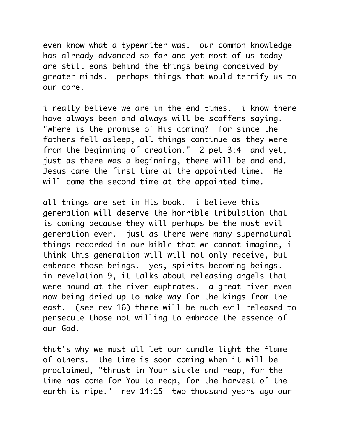even know what a typewriter was. our common knowledge has already advanced so far and yet most of us today are still eons behind the things being conceived by greater minds. perhaps things that would terrify us to our core.

i really believe we are in the end times. i know there have always been and always will be scoffers saying. "where is the promise of His coming? for since the fathers fell asleep, all things continue as they were from the beginning of creation." 2 pet 3:4 and yet, just as there was a beginning, there will be and end. Jesus came the first time at the appointed time. He will come the second time at the appointed time.

all things are set in His book. i believe this generation will deserve the horrible tribulation that is coming because they will perhaps be the most evil generation ever. just as there were many supernatural things recorded in our bible that we cannot imagine, i think this generation will will not only receive, but embrace those beings. yes, spirits becoming beings. in revelation 9, it talks about releasing angels that were bound at the river euphrates. a great river even now being dried up to make way for the kings from the east. (see rev 16) there will be much evil released to persecute those not willing to embrace the essence of our God.

that's why we must all let our candle light the flame of others. the time is soon coming when it will be proclaimed, "thrust in Your sickle and reap, for the time has come for You to reap, for the harvest of the earth is ripe." rev 14:15 two thousand years ago our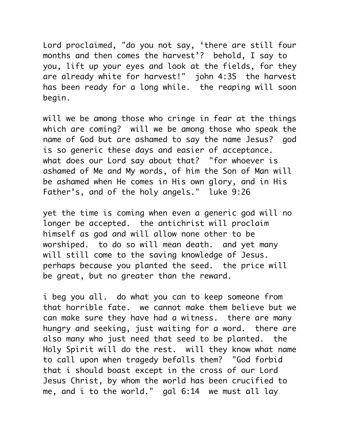Lord proclaimed, "do you not say, 'there are still four months and then comes the harvest'? behold, I say to you, lift up your eyes and look at the fields, for they are already white for harvest!" john 4:35 the harvest has been ready for a long while. the reaping will soon begin.

will we be among those who cringe in fear at the things which are coming? will we be among those who speak the name of God but are ashamed to say the name Jesus? god is so generic these days and easier of acceptance. what does our Lord say about that? "for whoever is ashamed of Me and My words, of him the Son of Man will be ashamed when He comes in His own glory, and in His Father's, and of the holy angels." luke 9:26

yet the time is coming when even a generic god will no longer be accepted. the antichrist will proclaim himself as god and will allow none other to be worshiped. to do so will mean death. and yet many will still come to the saving knowledge of Jesus. perhaps because you planted the seed. the price will be great, but no greater than the reward.

i beg you all. do what you can to keep someone from that horrible fate. we cannot make them believe but we can make sure they have had a witness. there are many hungry and seeking, just waiting for a word. there are also many who just need that seed to be planted. the Holy Spirit will do the rest. will they know what name to call upon when tragedy befalls them? "God forbid that i should boast except in the cross of our Lord Jesus Christ, by whom the world has been crucified to me, and i to the world." gal 6:14 we must all lay